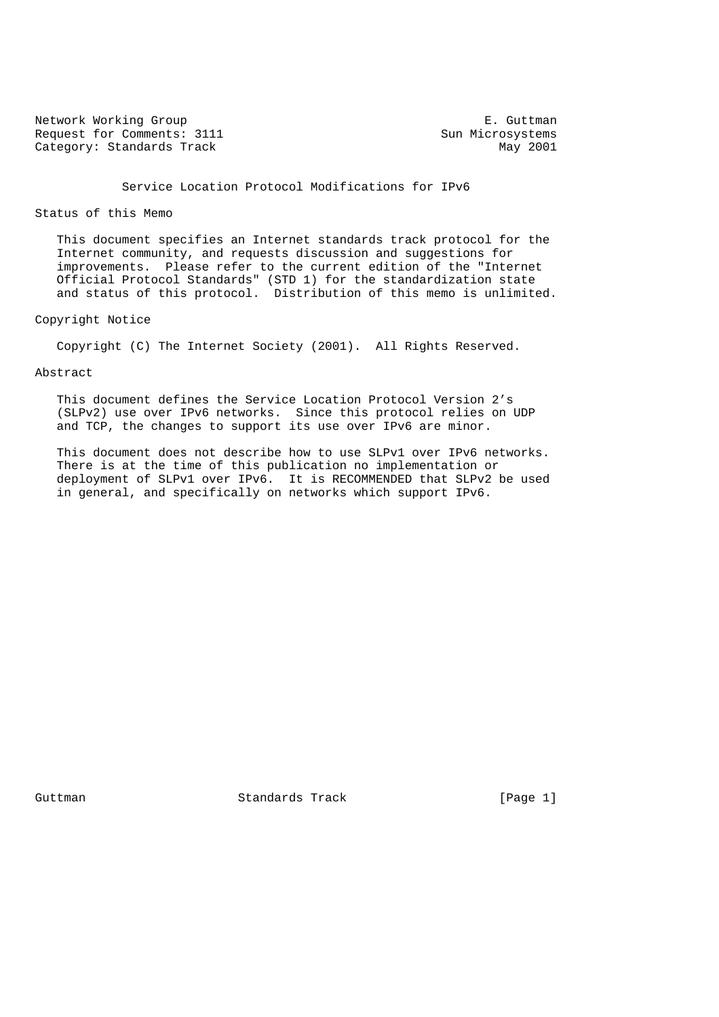Network Working Group **E.** Guttman Request for Comments: 3111 Sun Microsystems<br>
Category: Standards Track May 2001 Category: Standards Track

# Service Location Protocol Modifications for IPv6

### Status of this Memo

 This document specifies an Internet standards track protocol for the Internet community, and requests discussion and suggestions for improvements. Please refer to the current edition of the "Internet Official Protocol Standards" (STD 1) for the standardization state and status of this protocol. Distribution of this memo is unlimited.

## Copyright Notice

Copyright (C) The Internet Society (2001). All Rights Reserved.

### Abstract

 This document defines the Service Location Protocol Version 2's (SLPv2) use over IPv6 networks. Since this protocol relies on UDP and TCP, the changes to support its use over IPv6 are minor.

 This document does not describe how to use SLPv1 over IPv6 networks. There is at the time of this publication no implementation or deployment of SLPv1 over IPv6. It is RECOMMENDED that SLPv2 be used in general, and specifically on networks which support IPv6.

Guttman Standards Track [Page 1]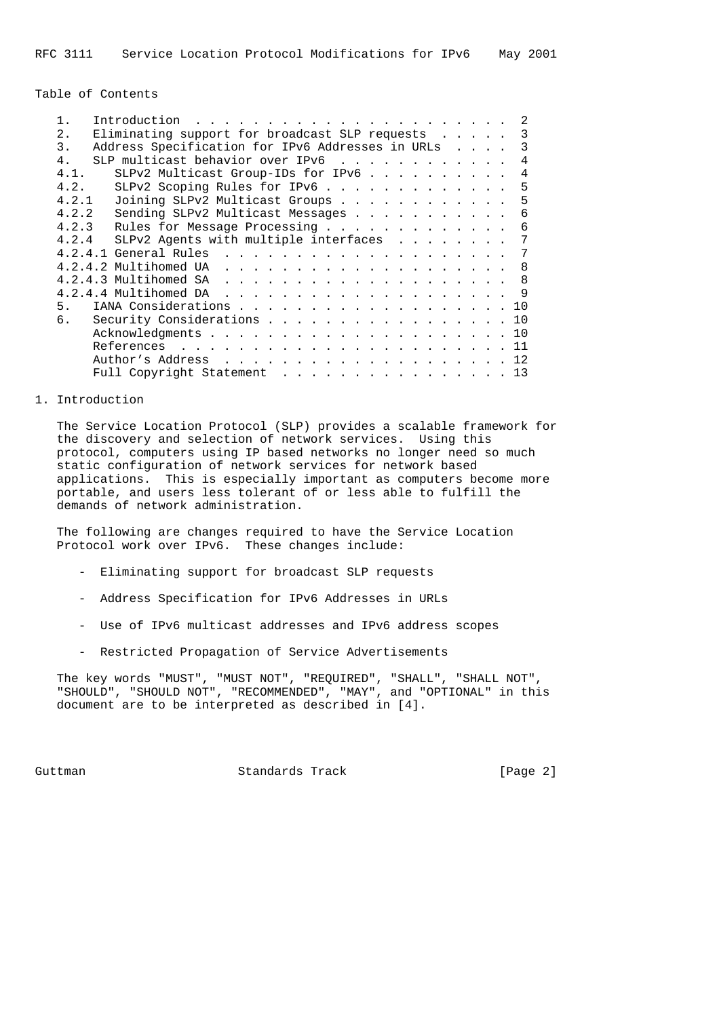Table of Contents

| 1.    |  | Introduction |                                                  |  |  |  |  |  |  |  |  |  | -2                      |
|-------|--|--------------|--------------------------------------------------|--|--|--|--|--|--|--|--|--|-------------------------|
| 2.    |  |              | Eliminating support for broadcast SLP requests   |  |  |  |  |  |  |  |  |  | $\overline{\mathbf{3}}$ |
| 3.    |  |              | Address Specification for IPv6 Addresses in URLs |  |  |  |  |  |  |  |  |  | 3                       |
| 4.    |  |              | SLP multicast behavior over IPv6                 |  |  |  |  |  |  |  |  |  | 4                       |
| 4.1.  |  |              | SLPv2 Multicast Group-IDs for IPv6               |  |  |  |  |  |  |  |  |  | 4                       |
| 4.2.  |  |              | SLPv2 Scoping Rules for IPv6                     |  |  |  |  |  |  |  |  |  | -5                      |
| 4.2.1 |  |              | Joining SLPv2 Multicast Groups                   |  |  |  |  |  |  |  |  |  | 5                       |
| 4.2.2 |  |              | Sending SLPv2 Multicast Messages                 |  |  |  |  |  |  |  |  |  | 6                       |
| 4.2.3 |  |              | Rules for Message Processing                     |  |  |  |  |  |  |  |  |  | -6                      |
| 4.2.4 |  |              | SLPv2 Agents with multiple interfaces            |  |  |  |  |  |  |  |  |  | 7                       |
|       |  |              |                                                  |  |  |  |  |  |  |  |  |  | -7                      |
|       |  |              |                                                  |  |  |  |  |  |  |  |  |  | -8                      |
|       |  |              |                                                  |  |  |  |  |  |  |  |  |  | - 8                     |
|       |  |              |                                                  |  |  |  |  |  |  |  |  |  |                         |
| 5.    |  |              | IANA Considerations 10                           |  |  |  |  |  |  |  |  |  |                         |
| 6.    |  |              | Security Considerations 10                       |  |  |  |  |  |  |  |  |  |                         |
|       |  |              |                                                  |  |  |  |  |  |  |  |  |  |                         |
|       |  |              |                                                  |  |  |  |  |  |  |  |  |  | 11                      |
|       |  |              |                                                  |  |  |  |  |  |  |  |  |  | 12                      |
|       |  |              | Full Copyright Statement 13                      |  |  |  |  |  |  |  |  |  |                         |
|       |  |              |                                                  |  |  |  |  |  |  |  |  |  |                         |

#### 1. Introduction

 The Service Location Protocol (SLP) provides a scalable framework for the discovery and selection of network services. Using this protocol, computers using IP based networks no longer need so much static configuration of network services for network based applications. This is especially important as computers become more portable, and users less tolerant of or less able to fulfill the demands of network administration.

 The following are changes required to have the Service Location Protocol work over IPv6. These changes include:

- Eliminating support for broadcast SLP requests
- Address Specification for IPv6 Addresses in URLs
- Use of IPv6 multicast addresses and IPv6 address scopes
- Restricted Propagation of Service Advertisements

 The key words "MUST", "MUST NOT", "REQUIRED", "SHALL", "SHALL NOT", "SHOULD", "SHOULD NOT", "RECOMMENDED", "MAY", and "OPTIONAL" in this document are to be interpreted as described in [4].

Guttman Standards Track [Page 2]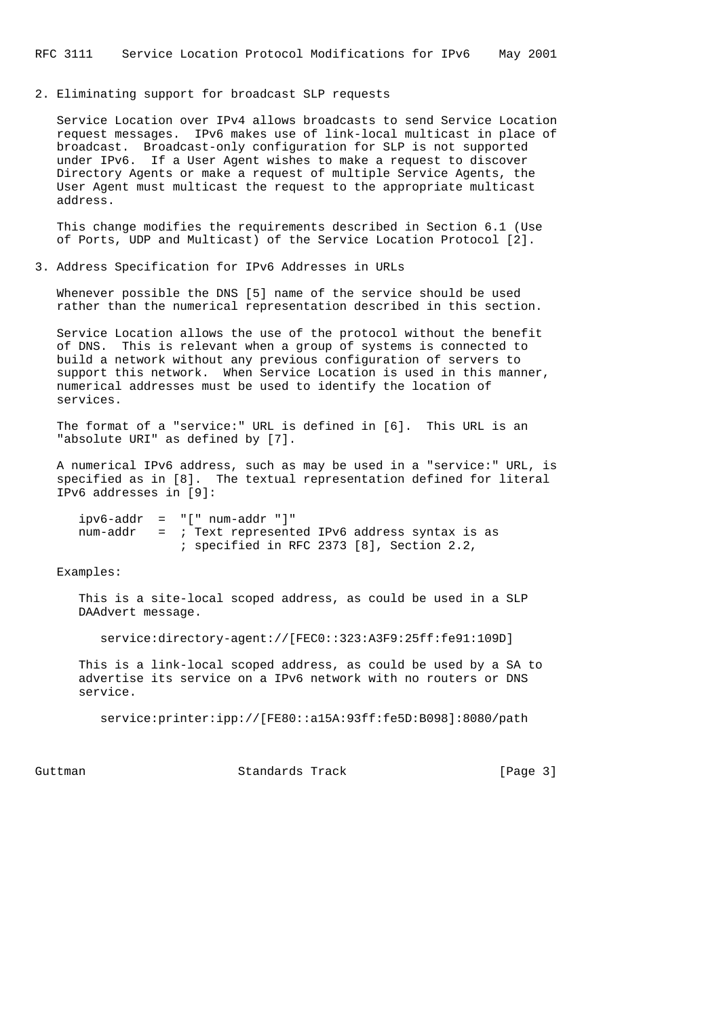#### 2. Eliminating support for broadcast SLP requests

 Service Location over IPv4 allows broadcasts to send Service Location request messages. IPv6 makes use of link-local multicast in place of broadcast. Broadcast-only configuration for SLP is not supported under IPv6. If a User Agent wishes to make a request to discover Directory Agents or make a request of multiple Service Agents, the User Agent must multicast the request to the appropriate multicast address.

 This change modifies the requirements described in Section 6.1 (Use of Ports, UDP and Multicast) of the Service Location Protocol [2].

### 3. Address Specification for IPv6 Addresses in URLs

 Whenever possible the DNS [5] name of the service should be used rather than the numerical representation described in this section.

 Service Location allows the use of the protocol without the benefit of DNS. This is relevant when a group of systems is connected to build a network without any previous configuration of servers to support this network. When Service Location is used in this manner, numerical addresses must be used to identify the location of services.

 The format of a "service:" URL is defined in [6]. This URL is an "absolute URI" as defined by [7].

 A numerical IPv6 address, such as may be used in a "service:" URL, is specified as in [8]. The textual representation defined for literal IPv6 addresses in [9]:

|  | $ipv6$ -addr = "[" num-addr "]"                         |  |  |  |
|--|---------------------------------------------------------|--|--|--|
|  | num-addr = ; Text represented IPv6 address syntax is as |  |  |  |
|  | ; specified in RFC 2373 [8], Section 2.2,               |  |  |  |

Examples:

 This is a site-local scoped address, as could be used in a SLP DAAdvert message.

service:directory-agent://[FEC0::323:A3F9:25ff:fe91:109D]

 This is a link-local scoped address, as could be used by a SA to advertise its service on a IPv6 network with no routers or DNS service.

service:printer:ipp://[FE80::a15A:93ff:fe5D:B098]:8080/path

Guttman **Standards Track** [Page 3]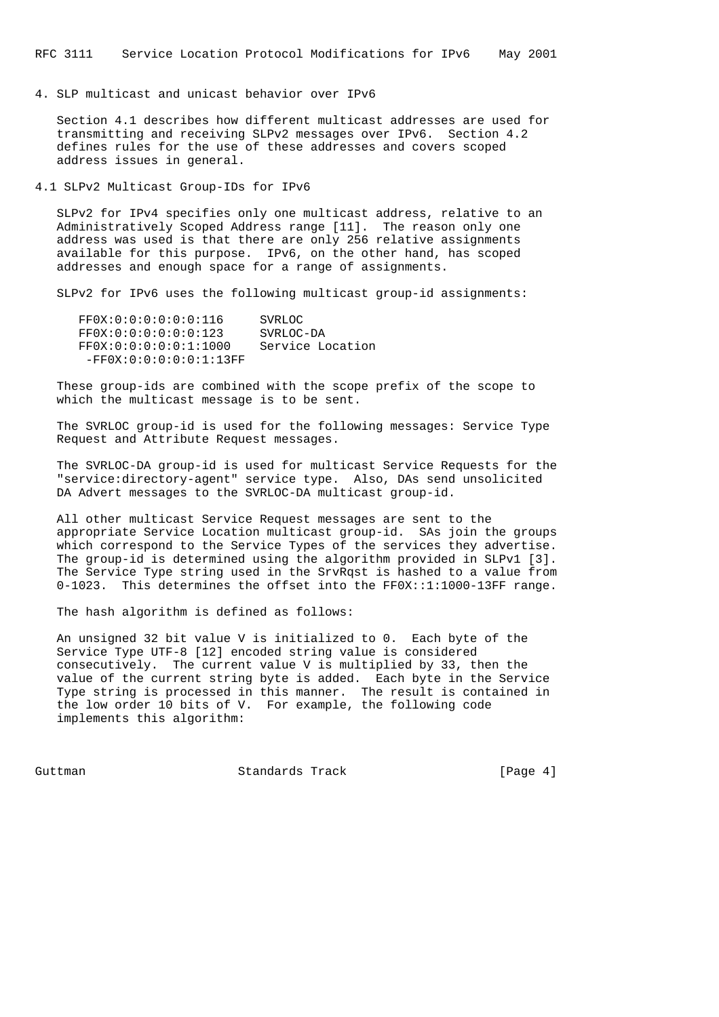### 4. SLP multicast and unicast behavior over IPv6

 Section 4.1 describes how different multicast addresses are used for transmitting and receiving SLPv2 messages over IPv6. Section 4.2 defines rules for the use of these addresses and covers scoped address issues in general.

4.1 SLPv2 Multicast Group-IDs for IPv6

 SLPv2 for IPv4 specifies only one multicast address, relative to an Administratively Scoped Address range [11]. The reason only one address was used is that there are only 256 relative assignments available for this purpose. IPv6, on the other hand, has scoped addresses and enough space for a range of assignments.

SLPv2 for IPv6 uses the following multicast group-id assignments:

| FFOX:0:0:0:0:0:0:116     | SVRLOC           |
|--------------------------|------------------|
| FF0X:0:0:0:0:0:0:0:123   | SVRLOC-DA        |
| FF0X:0:0:0:0:0:1:1000    | Service Location |
| $-FF0X:0:0:0:0:0:1:13FF$ |                  |

 These group-ids are combined with the scope prefix of the scope to which the multicast message is to be sent.

 The SVRLOC group-id is used for the following messages: Service Type Request and Attribute Request messages.

 The SVRLOC-DA group-id is used for multicast Service Requests for the "service:directory-agent" service type. Also, DAs send unsolicited DA Advert messages to the SVRLOC-DA multicast group-id.

 All other multicast Service Request messages are sent to the appropriate Service Location multicast group-id. SAs join the groups which correspond to the Service Types of the services they advertise. The group-id is determined using the algorithm provided in SLPv1 [3]. The Service Type string used in the SrvRqst is hashed to a value from 0-1023. This determines the offset into the FF0X::1:1000-13FF range.

The hash algorithm is defined as follows:

 An unsigned 32 bit value V is initialized to 0. Each byte of the Service Type UTF-8 [12] encoded string value is considered consecutively. The current value V is multiplied by 33, then the value of the current string byte is added. Each byte in the Service Type string is processed in this manner. The result is contained in the low order 10 bits of V. For example, the following code implements this algorithm:

Guttman **Standards Track** [Page 4]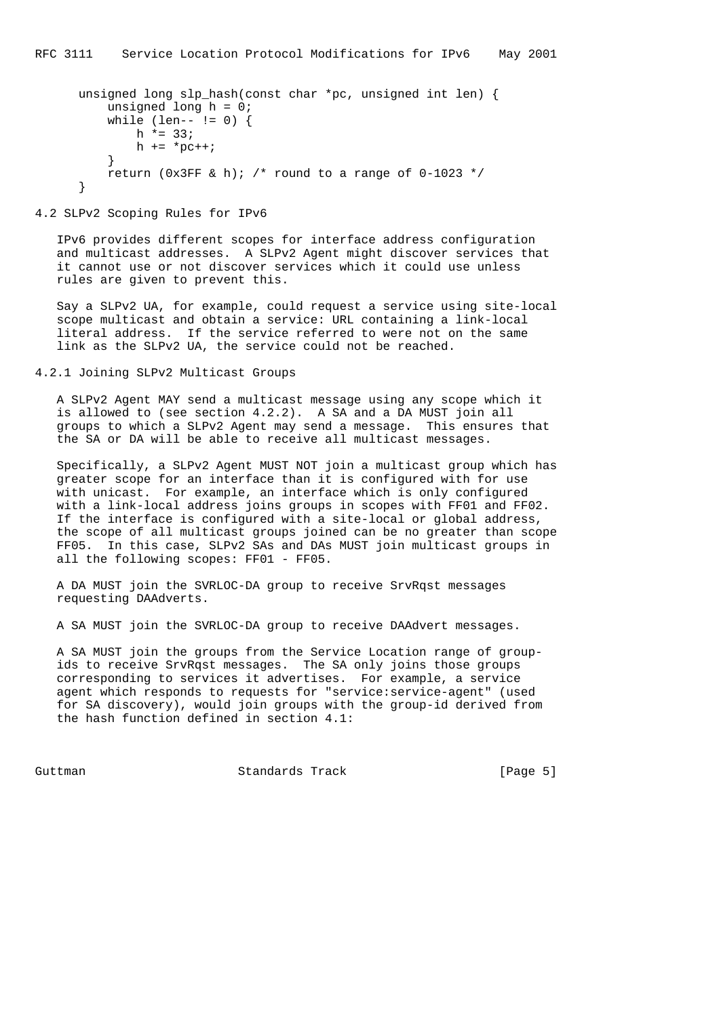```
 unsigned long slp_hash(const char *pc, unsigned int len) {
          unsigned long h = 0;
         while (len-- != 0) {
             h * = 33;h = *pc++; }
         return (0x3FF & h); /* round to a range of 0-1023 */
      }
```
### 4.2 SLPv2 Scoping Rules for IPv6

 IPv6 provides different scopes for interface address configuration and multicast addresses. A SLPv2 Agent might discover services that it cannot use or not discover services which it could use unless rules are given to prevent this.

 Say a SLPv2 UA, for example, could request a service using site-local scope multicast and obtain a service: URL containing a link-local literal address. If the service referred to were not on the same link as the SLPv2 UA, the service could not be reached.

4.2.1 Joining SLPv2 Multicast Groups

 A SLPv2 Agent MAY send a multicast message using any scope which it is allowed to (see section 4.2.2). A SA and a DA MUST join all groups to which a SLPv2 Agent may send a message. This ensures that the SA or DA will be able to receive all multicast messages.

 Specifically, a SLPv2 Agent MUST NOT join a multicast group which has greater scope for an interface than it is configured with for use with unicast. For example, an interface which is only configured with a link-local address joins groups in scopes with FF01 and FF02. If the interface is configured with a site-local or global address, the scope of all multicast groups joined can be no greater than scope FF05. In this case, SLPv2 SAs and DAs MUST join multicast groups in all the following scopes: FF01 - FF05.

 A DA MUST join the SVRLOC-DA group to receive SrvRqst messages requesting DAAdverts.

A SA MUST join the SVRLOC-DA group to receive DAAdvert messages.

 A SA MUST join the groups from the Service Location range of group ids to receive SrvRqst messages. The SA only joins those groups corresponding to services it advertises. For example, a service agent which responds to requests for "service:service-agent" (used for SA discovery), would join groups with the group-id derived from the hash function defined in section 4.1:

Guttman **Standards Track** [Page 5]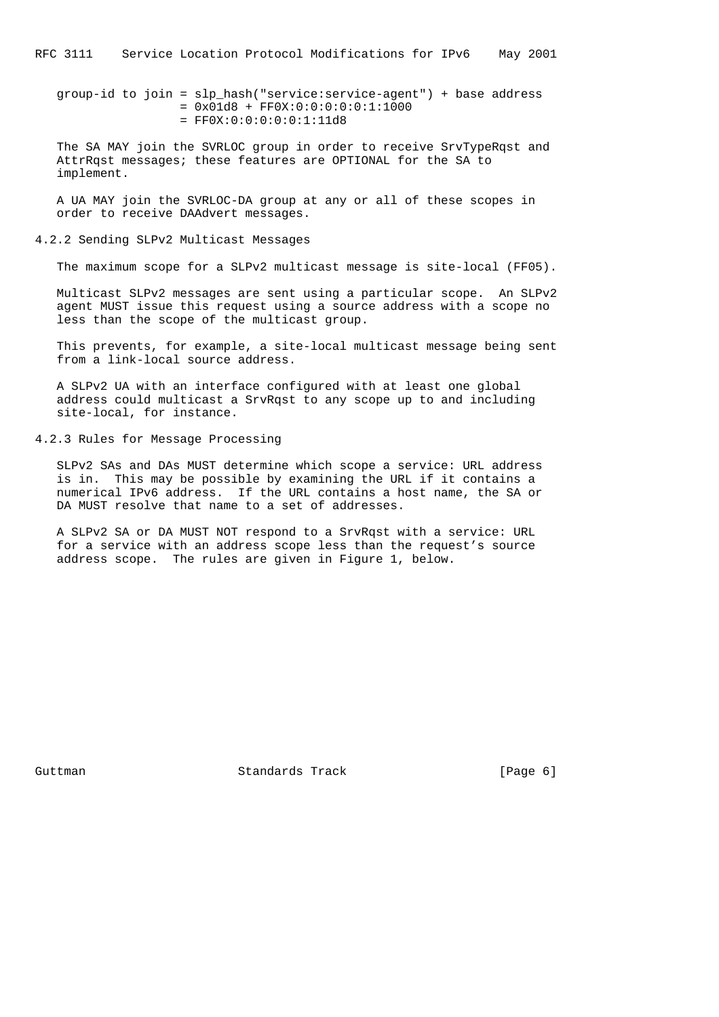group-id to join = slp\_hash("service:service-agent") + base address  $= 0x01d8 + FF0X:0:0:0:0:0:1:1000$  $=$  FF0X:0:0:0:0:0:1:11d8

 The SA MAY join the SVRLOC group in order to receive SrvTypeRqst and AttrRqst messages; these features are OPTIONAL for the SA to implement.

 A UA MAY join the SVRLOC-DA group at any or all of these scopes in order to receive DAAdvert messages.

4.2.2 Sending SLPv2 Multicast Messages

The maximum scope for a SLPv2 multicast message is site-local (FF05).

 Multicast SLPv2 messages are sent using a particular scope. An SLPv2 agent MUST issue this request using a source address with a scope no less than the scope of the multicast group.

 This prevents, for example, a site-local multicast message being sent from a link-local source address.

 A SLPv2 UA with an interface configured with at least one global address could multicast a SrvRqst to any scope up to and including site-local, for instance.

4.2.3 Rules for Message Processing

 SLPv2 SAs and DAs MUST determine which scope a service: URL address is in. This may be possible by examining the URL if it contains a numerical IPv6 address. If the URL contains a host name, the SA or DA MUST resolve that name to a set of addresses.

 A SLPv2 SA or DA MUST NOT respond to a SrvRqst with a service: URL for a service with an address scope less than the request's source address scope. The rules are given in Figure 1, below.

Guttman **Standards Track** [Page 6]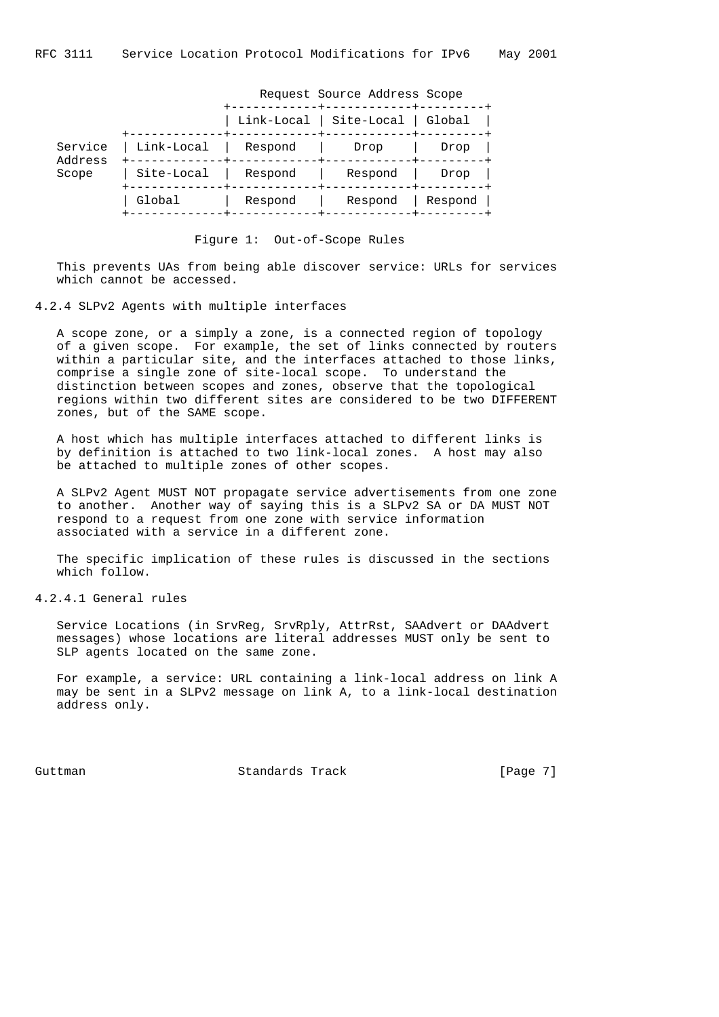|                    |            | Request Source Address Scope |            |         |  |  |  |  |  |
|--------------------|------------|------------------------------|------------|---------|--|--|--|--|--|
|                    |            | Link-Local                   | Site-Local | Global  |  |  |  |  |  |
| Service<br>Address | Link-Local | Respond                      | Drop       | Drop    |  |  |  |  |  |
| Scope              | Site-Local | Respond                      | Respond    | Drop    |  |  |  |  |  |
|                    | Global     | Respond                      | Respond    | Respond |  |  |  |  |  |

Figure 1: Out-of-Scope Rules

 This prevents UAs from being able discover service: URLs for services which cannot be accessed.

## 4.2.4 SLPv2 Agents with multiple interfaces

 A scope zone, or a simply a zone, is a connected region of topology of a given scope. For example, the set of links connected by routers within a particular site, and the interfaces attached to those links, comprise a single zone of site-local scope. To understand the distinction between scopes and zones, observe that the topological regions within two different sites are considered to be two DIFFERENT zones, but of the SAME scope.

 A host which has multiple interfaces attached to different links is by definition is attached to two link-local zones. A host may also be attached to multiple zones of other scopes.

 A SLPv2 Agent MUST NOT propagate service advertisements from one zone to another. Another way of saying this is a SLPv2 SA or DA MUST NOT respond to a request from one zone with service information associated with a service in a different zone.

 The specific implication of these rules is discussed in the sections which follow.

### 4.2.4.1 General rules

 Service Locations (in SrvReg, SrvRply, AttrRst, SAAdvert or DAAdvert messages) whose locations are literal addresses MUST only be sent to SLP agents located on the same zone.

 For example, a service: URL containing a link-local address on link A may be sent in a SLPv2 message on link A, to a link-local destination address only.

Guttman **Standards Track** [Page 7]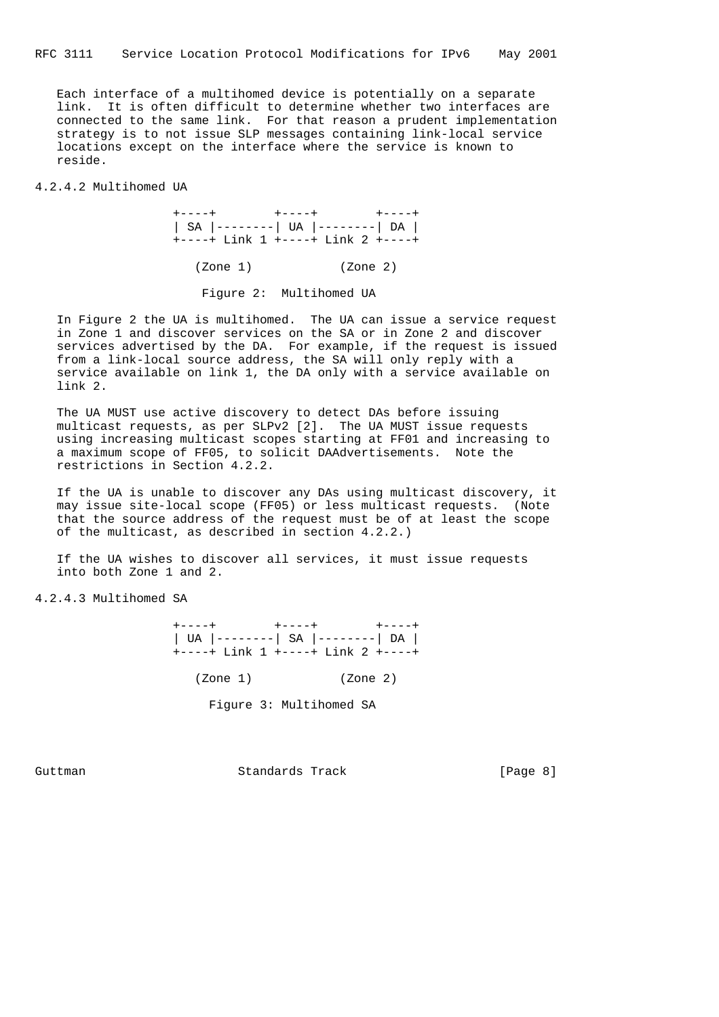Each interface of a multihomed device is potentially on a separate link. It is often difficult to determine whether two interfaces are connected to the same link. For that reason a prudent implementation strategy is to not issue SLP messages containing link-local service locations except on the interface where the service is known to reside.

4.2.4.2 Multihomed UA

 +----+ +----+ +----+ | SA |--------| UA |--------| DA | +----+ Link 1 +----+ Link 2 +----+

(Zone 1) (Zone 2)

Figure 2: Multihomed UA

 In Figure 2 the UA is multihomed. The UA can issue a service request in Zone 1 and discover services on the SA or in Zone 2 and discover services advertised by the DA. For example, if the request is issued from a link-local source address, the SA will only reply with a service available on link 1, the DA only with a service available on link 2.

 The UA MUST use active discovery to detect DAs before issuing multicast requests, as per SLPv2 [2]. The UA MUST issue requests using increasing multicast scopes starting at FF01 and increasing to a maximum scope of FF05, to solicit DAAdvertisements. Note the restrictions in Section 4.2.2.

 If the UA is unable to discover any DAs using multicast discovery, it may issue site-local scope (FF05) or less multicast requests. (Note that the source address of the request must be of at least the scope of the multicast, as described in section 4.2.2.)

 If the UA wishes to discover all services, it must issue requests into both Zone 1 and 2.

4.2.4.3 Multihomed SA

 +----+ +----+ +----+ | UA |--------| SA |--------| DA | +----+ Link 1 +----+ Link 2 +----+ (Zone 1) (Zone 2)

Figure 3: Multihomed SA

Guttman **Standards Track** [Page 8]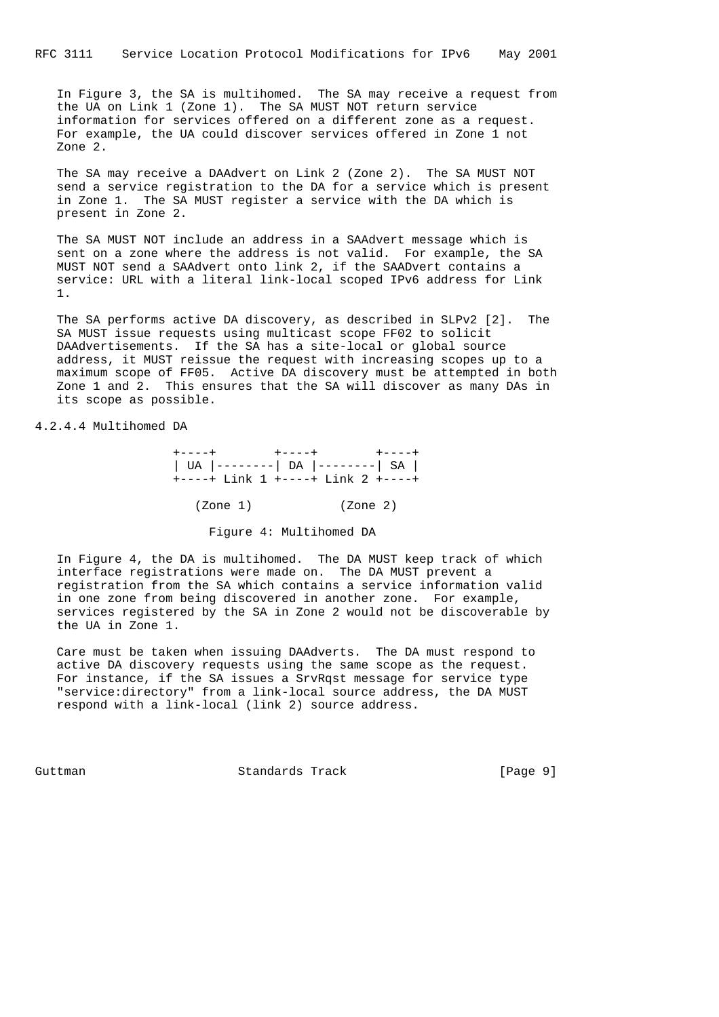In Figure 3, the SA is multihomed. The SA may receive a request from the UA on Link 1 (Zone 1). The SA MUST NOT return service information for services offered on a different zone as a request. For example, the UA could discover services offered in Zone 1 not Zone 2.

 The SA may receive a DAAdvert on Link 2 (Zone 2). The SA MUST NOT send a service registration to the DA for a service which is present in Zone 1. The SA MUST register a service with the DA which is present in Zone 2.

 The SA MUST NOT include an address in a SAAdvert message which is sent on a zone where the address is not valid. For example, the SA MUST NOT send a SAAdvert onto link 2, if the SAADvert contains a service: URL with a literal link-local scoped IPv6 address for Link 1.

 The SA performs active DA discovery, as described in SLPv2 [2]. The SA MUST issue requests using multicast scope FF02 to solicit DAAdvertisements. If the SA has a site-local or global source address, it MUST reissue the request with increasing scopes up to a maximum scope of FF05. Active DA discovery must be attempted in both Zone 1 and 2. This ensures that the SA will discover as many DAs in its scope as possible.

4.2.4.4 Multihomed DA

 +----+ +----+ +----+ | UA |--------| DA |--------| SA | +----+ Link 1 +----+ Link 2 +----+ (Zone 1) (Zone 2)

Figure 4: Multihomed DA

 In Figure 4, the DA is multihomed. The DA MUST keep track of which interface registrations were made on. The DA MUST prevent a registration from the SA which contains a service information valid in one zone from being discovered in another zone. For example, services registered by the SA in Zone 2 would not be discoverable by the UA in Zone 1.

 Care must be taken when issuing DAAdverts. The DA must respond to active DA discovery requests using the same scope as the request. For instance, if the SA issues a SrvRqst message for service type "service:directory" from a link-local source address, the DA MUST respond with a link-local (link 2) source address.

Guttman **Standards Track** [Page 9]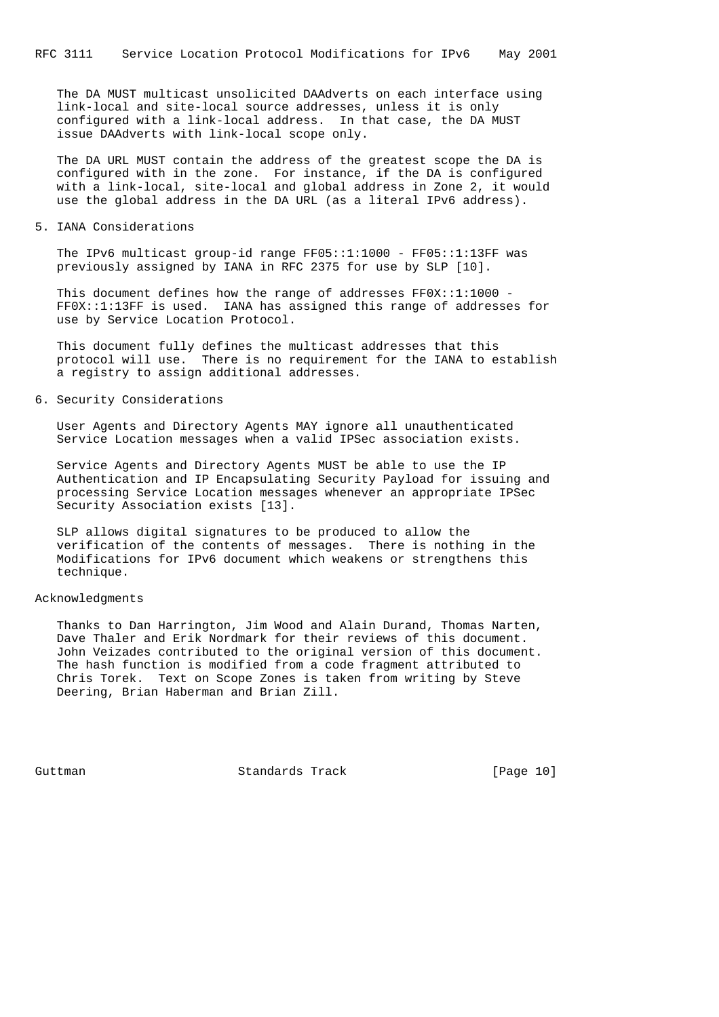The DA MUST multicast unsolicited DAAdverts on each interface using link-local and site-local source addresses, unless it is only configured with a link-local address. In that case, the DA MUST issue DAAdverts with link-local scope only.

 The DA URL MUST contain the address of the greatest scope the DA is configured with in the zone. For instance, if the DA is configured with a link-local, site-local and global address in Zone 2, it would use the global address in the DA URL (as a literal IPv6 address).

5. IANA Considerations

 The IPv6 multicast group-id range FF05::1:1000 - FF05::1:13FF was previously assigned by IANA in RFC 2375 for use by SLP [10].

 This document defines how the range of addresses FF0X::1:1000 - FF0X::1:13FF is used. IANA has assigned this range of addresses for use by Service Location Protocol.

 This document fully defines the multicast addresses that this protocol will use. There is no requirement for the IANA to establish a registry to assign additional addresses.

6. Security Considerations

 User Agents and Directory Agents MAY ignore all unauthenticated Service Location messages when a valid IPSec association exists.

 Service Agents and Directory Agents MUST be able to use the IP Authentication and IP Encapsulating Security Payload for issuing and processing Service Location messages whenever an appropriate IPSec Security Association exists [13].

 SLP allows digital signatures to be produced to allow the verification of the contents of messages. There is nothing in the Modifications for IPv6 document which weakens or strengthens this technique.

# Acknowledgments

 Thanks to Dan Harrington, Jim Wood and Alain Durand, Thomas Narten, Dave Thaler and Erik Nordmark for their reviews of this document. John Veizades contributed to the original version of this document. The hash function is modified from a code fragment attributed to Chris Torek. Text on Scope Zones is taken from writing by Steve Deering, Brian Haberman and Brian Zill.

Guttman **Standards Track** [Page 10]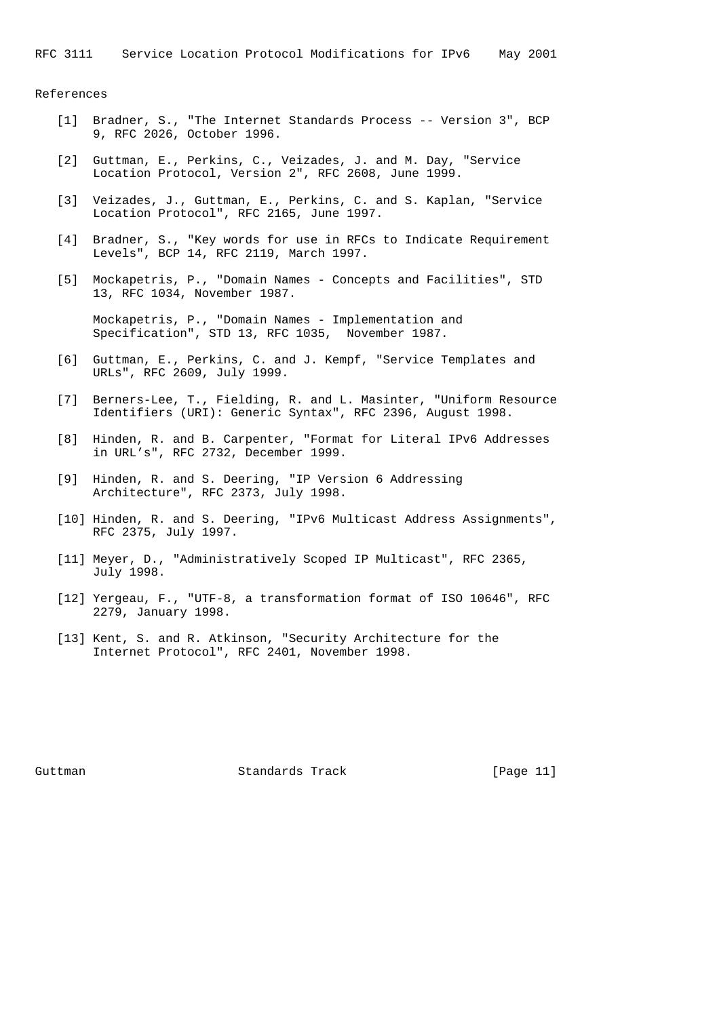#### References

- [1] Bradner, S., "The Internet Standards Process -- Version 3", BCP 9, RFC 2026, October 1996.
- [2] Guttman, E., Perkins, C., Veizades, J. and M. Day, "Service Location Protocol, Version 2", RFC 2608, June 1999.
- [3] Veizades, J., Guttman, E., Perkins, C. and S. Kaplan, "Service Location Protocol", RFC 2165, June 1997.
- [4] Bradner, S., "Key words for use in RFCs to Indicate Requirement Levels", BCP 14, RFC 2119, March 1997.
- [5] Mockapetris, P., "Domain Names Concepts and Facilities", STD 13, RFC 1034, November 1987.

 Mockapetris, P., "Domain Names - Implementation and Specification", STD 13, RFC 1035, November 1987.

- [6] Guttman, E., Perkins, C. and J. Kempf, "Service Templates and URLs", RFC 2609, July 1999.
- [7] Berners-Lee, T., Fielding, R. and L. Masinter, "Uniform Resource Identifiers (URI): Generic Syntax", RFC 2396, August 1998.
- [8] Hinden, R. and B. Carpenter, "Format for Literal IPv6 Addresses in URL's", RFC 2732, December 1999.
- [9] Hinden, R. and S. Deering, "IP Version 6 Addressing Architecture", RFC 2373, July 1998.
- [10] Hinden, R. and S. Deering, "IPv6 Multicast Address Assignments", RFC 2375, July 1997.
- [11] Meyer, D., "Administratively Scoped IP Multicast", RFC 2365, July 1998.
- [12] Yergeau, F., "UTF-8, a transformation format of ISO 10646", RFC 2279, January 1998.
- [13] Kent, S. and R. Atkinson, "Security Architecture for the Internet Protocol", RFC 2401, November 1998.

Guttman **Standards Track** [Page 11]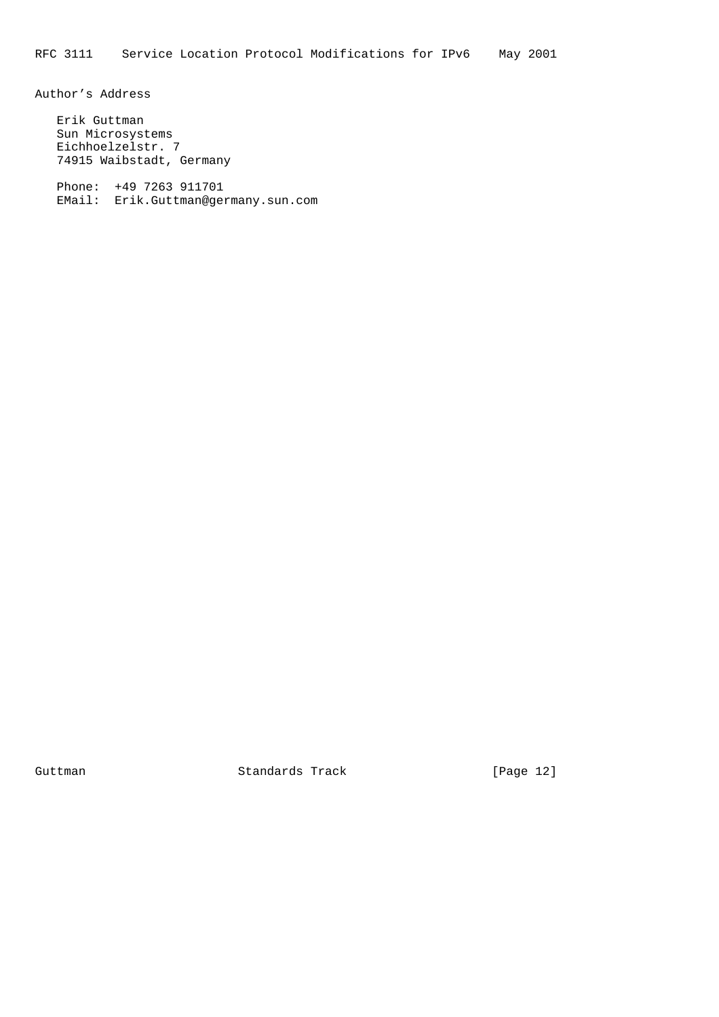Author's Address

 Erik Guttman Sun Microsystems Eichhoelzelstr. 7 74915 Waibstadt, Germany

 Phone: +49 7263 911701 EMail: Erik.Guttman@germany.sun.com

Guttman Standards Track [Page 12]